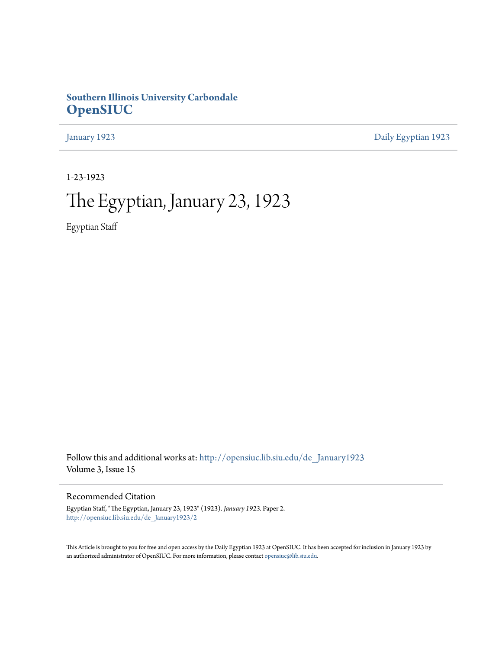### **Southern Illinois University Carbondale [OpenSIUC](http://opensiuc.lib.siu.edu?utm_source=opensiuc.lib.siu.edu%2Fde_January1923%2F2&utm_medium=PDF&utm_campaign=PDFCoverPages)**

[January 1923](http://opensiuc.lib.siu.edu/de_January1923?utm_source=opensiuc.lib.siu.edu%2Fde_January1923%2F2&utm_medium=PDF&utm_campaign=PDFCoverPages) [Daily Egyptian 1923](http://opensiuc.lib.siu.edu/de_1923?utm_source=opensiuc.lib.siu.edu%2Fde_January1923%2F2&utm_medium=PDF&utm_campaign=PDFCoverPages)

1-23-1923

# The Egyptian, January 23, 1923

Egyptian Staff

Follow this and additional works at: [http://opensiuc.lib.siu.edu/de\\_January1923](http://opensiuc.lib.siu.edu/de_January1923?utm_source=opensiuc.lib.siu.edu%2Fde_January1923%2F2&utm_medium=PDF&utm_campaign=PDFCoverPages) Volume 3, Issue 15

Recommended Citation

Egyptian Staff, "The Egyptian, January 23, 1923" (1923). *January 1923.* Paper 2. [http://opensiuc.lib.siu.edu/de\\_January1923/2](http://opensiuc.lib.siu.edu/de_January1923/2?utm_source=opensiuc.lib.siu.edu%2Fde_January1923%2F2&utm_medium=PDF&utm_campaign=PDFCoverPages)

This Article is brought to you for free and open access by the Daily Egyptian 1923 at OpenSIUC. It has been accepted for inclusion in January 1923 by an authorized administrator of OpenSIUC. For more information, please contact [opensiuc@lib.siu.edu.](mailto:opensiuc@lib.siu.edu)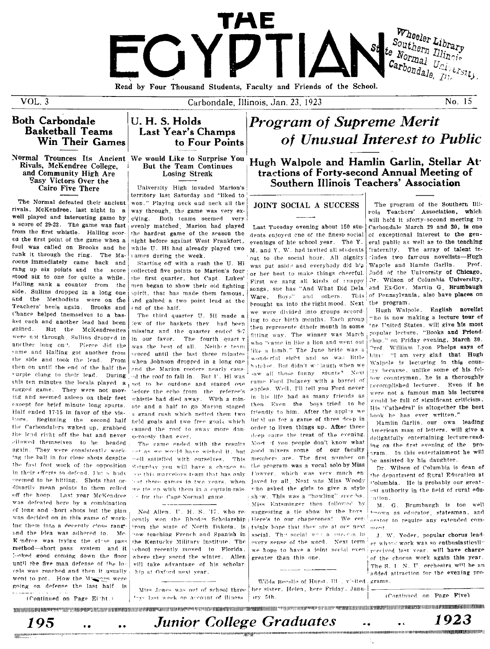

 $VOL$  3

Carbondale, Illinois, Jan. 23, 1923

No. 15

### **Both Carbondale Basketball Teams** Win Their Games

Normal Trounces Its Ancient We would Like to Surprise You Rivals, McKendree College, and Community High Are Fasy Victors Over the Cairo Five There

The Normal defeated their ancient rivals, McKendree, last night in a well played and interesting game by a score of 29-22. The game was fast from the first whistle. Halling scored the first point of the game when a foul was called on Brooks and he cank it through the ring. The Maroons immediately came back and rang up six points and the score stood six to one for quite a while. Halling sank a counter from the side. Sullins dropped in a long one and the Methodists were on the Teachers' heels again. Brooks and Chance helped tnemselves to a basket each and another lead had been gained. But the McKendreeites were not through. Sullins dropped in another long on". Pierce did the same and Halling got another from the side and took the lead. From then on until the end of the half the rurple clung to their lead. During this ten minutes the locals played a ragged game. They were not moving and seemed asleep on their feet except for brief minute long spurts. Half ended 17-15 in favor of the visitors. Beginning the second half the Carbondalers waked up, grabbed the load right off the bat and never ellowed themselves to be headed again. They were consistently working the ball in for close shots despite the fast foot work of the opposition in their efferts to defend. Fur nebody seemed to be hitting. Shots that ordinarily mean points to them rolled off the hoop. Last year McKendree was defeated here by a combination of long and chort shots but the plan was decided on in this game of working them into a decently close range and the idea was adhered to. Mc-K ndree was trying the close pass method-short pass system and it boked good coming down the floor until the five man defense of the locals was reached and then it usually went to pot. How the Massages were going on defense the last half is (Continued on Page Eitht.)

### U. H. S. Holds Last Year's Champs to Four Points

### But the Team Continues Losing Streak

University High invaded Marion's territory last Saturday and "liked to won." Playing neck and neck all the way through, the game was very ex $c$ iting Both teams seemed very evenly matched, Marion had played the hardest game of the season the night before against West Frankfort. while U. Hi had already played two cames during the week.

Starting off with a rush the H. Hi collected five points to Marion's four the first quarter, but Capt. Lukes' men began to show their old fighting spirit, that has made them famous ind gained a two point lead at the end of the half.

The third quarter U. Hi made a few of the baskets they had been missing and the quarter ended 9-7 in our favor. The fourth quart r was the best of all. Neither team scored until the last three minutes when Johnson dropped in a long one and the Marion rooters nearly caused the roof to fall in. But U. Hi was not to be outdone and staged one before the echo from the referee's whistle had died away. With a minute and a half to go Marion staged a grand rush which netted them two held goals and two free goals which caused the roof to sway more dangerously than ever.

The came ended with the results not as we would have wished it. but well satisfied with ourselves. This Saturday you will have a chence to see this marvelous team that has only hat three games in two years, when we tie up with them in a curtain-rais-: for the Cane-Normal game.

Ned Allen, U. H. S. 77, who recently won the Rhodes Scholarship; irom the state of North Dakota, is now teaching French and Spanish in the Kentucky Military Institute. The school recently moved to Florida. where they snend the winter. Allen vill take advantage of his scholarhip at Oxford next year.

tays last week on account of illness

## **Program of Supreme Merit** of Unusual Interest to Public

Hugh Walpole and Hamlin Garlin, Stellar At tractions of Forty-second Annual Meeting of Southern Illinois Teachers' Association

#### JOINT SOCIAL A SUCCESS

Last Tuesday evening about 150 students enjoyed one of the finest social evenings of hte school year. The Y. M. and Y. W. had invited all students out to the social hour. All dignity was put aside and everybody did his or her best to make things cheerful. First we sang all kinds of snappy songs, suc has "And What Did Dela Ware, Boys" and others. Tois brought us into the right mood. Next we were divided into groups accord ing to our birth months. Each group then represente dtheir month in some fitting way. The winner was March who "came in like a lion and went out like a lamb." The June bride was a wonderful sight and so was little hatchet. But didn't wellaugh when we saw all those funny stunts? Next came Ford Dulaney with a barrel of apples. Well, I'll tell you Ford never in his life had as many friends as then. Even the boys tried to be friendly to him. After the apples we lin d up for a game of three deep in order to liven things up. After three deep came the treat of the evening. Most if you people don't know what 200d mixers some of our faculty members are. The first number on the program was a vocal solo by Miss Fowyer, which was very much enjoved by all. Next was Miss Woody viho asked the girls to give a style show. This was a "howling" success Miss Entsminger then followed by suggesting a tie show by the hove Here's to our chaperones! We certhinly hope that they are at our next social. The social was a success in every sense of the word. Next term we hope to have a joint social even greater than this one.

Wilda Beeslie of Hurst, Ill., visited, grams. Miss Jones was out of school three her sister. Helen, here Friday, January 5th.

Junior College Graduates ...

The program of the Southern Illirois Teachers' Association, which will hold it sforty-second meeting in Carbondale March 29 and 30, is one of exceptional interest to the general public as well as to the teaching fraternity. The array of talent infludes two famous novelists-Hugh Wapole and Hamln Garlln. Prof Judd of the University of Chicago, Or. Wilson of Columbia University, and Ex-Gov. Martin G. Brumbaugh of Pennsylvania, also have places on the program.

Hugh Walpole, English novelist who is now making a lecture tour of 'ne United States, will give his most popular lecture, "Books and Friendship," on Friday evening, March 30. Prof. William Lyon Phelps says of "I am very glad that Hugh him. Walpole is lecturing in this country hecause, unlike some of his fellow countrymen, he is a thoroughly accomplished lecturer. Even if he were not a famous man his lectures would be full of significant criticism. His 'Cathedral' is altogether the best book he has ever written."

Hamlin Garlin, our own leading American man of letters, will give a delightfully entertaining lecture-reading on the first evening of the prosram. In this entertainment he will be assisted by his daughter.

Dr. Wilson of Columbia is dean of the department of Rural Education at Columbia. He is probably our greatest authority in the field of rural eduation.

M. G. Brumbaugh is too well "nown as educator, statesman, and orator to require any extended com $m \wedge m$ 

J. W. Yoder, popular chorus leader whose work was so enthusiastically received last year, will have charge of the chorus work again this year. The S. L. N. U. orchestra will be an added attraction for the evening pro-

(Continued on Page Five)



1923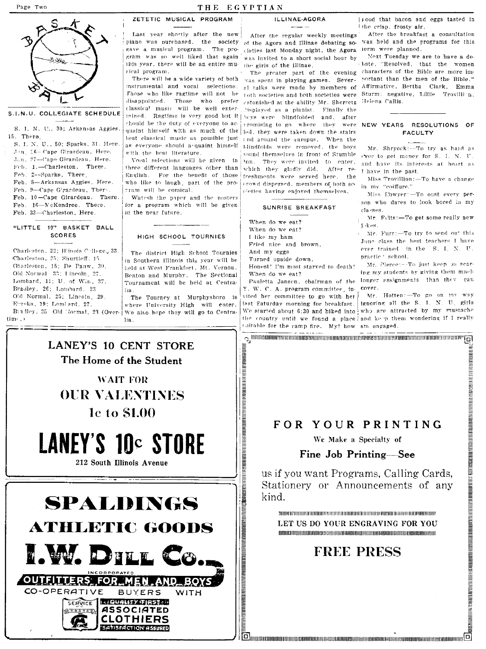#### THE EGYPTIAN

#### ILLINAE-AGORA

بالملاك

S.I.N.U. COLLEGIATE SCHEDULE

S. I. N. U., 30; Arkansas Aggies 15. There

S. I. N. U., 50; Sparks, 31. Here. Jan 16-Cape Girardeau, Here, J.n. 27-Cape Girardeau, Here. Feb. 1.-Charleston. There. Feb. 2--Sparks, There Feb. 5-Arkansas Aggies, Here Feb. 9-Cape Girardeau, Ther-. Feb. 10-Cape Girardeau. There Feb. 16-NcKendree, There.

Feb. 23-Charleston, Here

#### "LITTLE 19" BASKET BALL **SCORES**

Charleston, 22; Illinois College, 33 Charleston, 25: Shurtleff, 15. Oharleston, 15; De Pauw, 30. Old Normal 33; Lincoln, 27. Lombard, 11; U. of Wis., 37. Bradley, 26: Lombard, 23 Old Normal, 25; Lincoln, 29 Eureka, 19; Lombard, 27. Bradley, 25 Old Normal, 23 (Overtime.)

Last year shortly after the new piano was purchased, the society of the Agora and Illinae debating so. was held and the programs for this gave a musical program. The pro- cieties last Monday night, the Agora lerm were planned. gram was so well liked that again was invited to a short social hour by this year, there will be an entire must the girls of the Illinae. sical program.

ZETETIC MUSICAL PROGRAM

Those who like ragtime will not be disannointed classical music will be well entertained. Ragtime is very good but it peys were blindfolded chould be the duty of everyone to acbest classical music as possible just with the hest literature

Vocal selections will be given in three different languages other than English. For the benefit of those who like to laugh, part of the profram will be comical.

Watesh the paper and the posters for a program which will be given in the near future.

### HIGH SCHOOL TOURNIES

The district High School Tournies in Southern Illinois this year will be held at West Frankfort, Mt. Vernon. Benton and Murphy. The Sectional Tournament will be held at Centra-

The Tourney at Murphysboro is where University High will enter. We also hope they will go to Centralia



After the regular weekly meetings

There will be a wide variety of both was spent in playing games. Severinstrumental and vocal selections. al talks were made by members of toth societies and both societies were Sturm; negative, Lillie Trovilli'n. Those who prefer astonished at the ability Mr. Sherretz lisniaved as a nianist. Finally the and. after promising to go where they were quaint himself with as much of the led, they were taken down the stairs and around the campus. When the as everyone should a quaint himself Llindfolds were removed, the boys found themselves in front of Stumble 'nn. They were invited to enter, which they gladly did. After refreshments were served here. the crowd dispersed, members of both so cieties having enjoyed themselves.

#### SUNRISE BREAKFAST

When do we eat? When do we eat? I like my ham Fried nice and brown, And my eggs Turned upside down. Honest! I'm most starved to death! When do we eat?

Pauletta Jansen, chairman of the Y. W. C. A. program committee in-

vited her committee to go with her last Saturday morning for breakfast. suitable for the camp fire. My! how am engaged.

[good that bacon and eggs tasted in the crisp, frosty air.

After the breakfast a consultation

Next Tuesday we are to have a dethate, "Resolved, that the women The greater part of the evening characters of the Bible are more imnortant than the men of the Bible " Affirmative, Bertha Clark, Emma Helena Callis.

#### NEW YEARS RESOLUTIONS OF **FACULTY**

Mr. Shryock:--To try as haid as ever to get money for S. I. N. U. and have its interests at heart as I have in the past.

Miss Trovillion: - To have a change in my "coiffure."

Miss Eowyer:-To oust every person who dares to look bored in my classes.

Mr. Filts:-To get some really new **i**skes

Mr. Furr:-To try to send out this June class the best teachers I have ever trained in the S. I. N. U. practic 'school

Mr. Pierce:--To just keep on scaring my students by giving them much longer assignments than they can cover.

Mr. Hotten:-To go on my way ignoring all the S. I. N. U. girls We started about 6:30 and hiked into who are attracted by my mustache the country until we found a place and keep them wondering if I really

AUSTING ALLE SOM AN STRUCK KOMMUNISTISKE STRUCK KOMMUNISTISKE KOMMUNISTISKE SOM AV STRUCK KOMMUNISTER FOR STRUCK KOMMUNISTER FOR S

### FOR YOUR PRINTING

o intercommunicational contraction and contraction and contraction and contraction and contraction and contraction of

We Make a Specialty of

#### Fine Job Printing-See

us if you want Programs, Calling Cards. Stationery or Announcements of any kind.

THE CONTRACT CONTRACT CONTRACT CONTRACT CONTRACT CONTRACT CONTRACT CONTRACT CONTRACT CONTRACT CONTRACT CONTRACT CONTRACT CONTRACT CONTRACT CONTRACT CONTRACT CONTRACT CONTRACT CONTRACT CONTRACT CONTRACT CONTRACT CONTRACT CO LET US DO YOUR ENGRAVING FOR YOU 

### **FREE PRESS**

**id** annos componente a componente a contrarte annos annos annos annos annos annos annos annos annos annos annos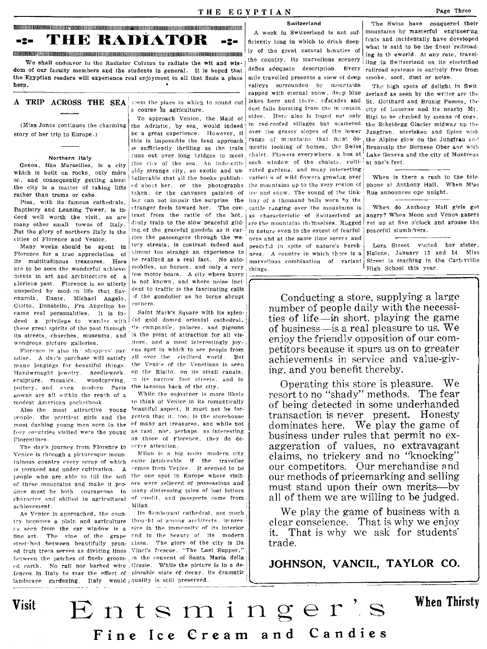DJIDIUllIIlIIIIIIIIUlIIIIIIIJIIIIJIIIIIIIIIIII:'III1I1I11I11I1I11I1lJIIIllIlIlIlIlIlIlfIlIlIllIlIJIIJIIIIIIJIIIIIIIIIIIIIIIIIIJll1I1I11II11lI1II1J1ll11l1ll11ll1ll1ll1l1l1n1l11l11lll1l1l1l1ll1ln1l1l1l1l1l1l I Switzerland The Swiss have conquere'l their **The Switzerland** Is not sufficient in Switzerland Is not suf- mountains by masterful engineering  $\blacksquare$ <br> $\blacksquare$   $\blacksquare$   $\blacksquare$   $\blacksquare$   $\blacksquare$   $\blacksquare$   $\blacksquare$   $\blacksquare$   $\blacksquare$  and  $\blacksquare$  are responsed the said to be the finest ra

 $\text{min}\left\{\text{min}\right\} \begin{bmatrix} \text{min}\left\{\text{min}\right\} & \text{min}\left\{\text{min}\right\} \\ \text{min}\left\{\text{min}\right\} & \text{min}\left\{\text{min}\right\} \\ \text{min}\left\{\text{min}\left\{\text{min}\right\} & \text{min}\left\{\text{min}\right\} \\ \text{min}\left\{\text{min}\left\{\text{min}\right\} & \text{min}\left\{\text{min}\right\} \end{bmatrix} \right\} \begin{bmatrix} \text{min}\left\{\text{min}\left\{\text{min}\right\} & \text{min}\left\{\text{min}\right\} \\ \text{$ We shall endeavor in the Radiator Column to radiate the wit and wis- the country. Its marvellous scenery  $\frac{1}{\log}$  in Switzerland on its electrified on its electrified  $\frac{1}{\log}$  of our faculty members and the students i dom of our faculty members and the students in general. It is hoped that defies adequate description. Every railroad systems is entirely free from<br>the Egyptian readers will experience real enjoyment in all that finds a pla the Egyptian readers will experience real enjoyment in all that finds a place mile travelled presents a view of deep

|  | A TRIP ACROSS THE SEA seem the place in |  |  |                       |  |  |
|--|-----------------------------------------|--|--|-----------------------|--|--|
|  |                                         |  |  | a course in agricular |  |  |

which is built on rocks, only more J.hly strarige dty, so exotic and un· vated gardells, and many int~!'e"ting~ ------~ se, and consequently getting about helievable that all the books publish- varieties of wild flowers growing over When is there a rush to the tele-<br>the oity is a motter of taking little ed about her, or the photographs the the city is a matter of taking lifts

Eaptistry and Leaning Tower, is in. , tranger feels toward her. The con-. cattle ranging over the mountains is When do Anthony Hall girls get<br>Lead well worth the visit as a perform the rattle of the hot, as characteristic  $\frac{1}{2}$  well worth the visit, as are trast from the rattle of the hot. as characteristic of Switzerland as angry? When Moon and Venus gazers many other small towns of Italy. dusty train to the slow peaceful glid- $\frac{1}{2}$  are the mountains the meselves. Rugged get up at five o'clock and arouse the Rut the glock and arouse the Rut the glock and arouse the Rut t Fut the glory of northern Italy is the  $\frac{ln g}{g}$  of the graceful gondola as it car- $\frac{1}{2}$ in nature even to the extent of fearful-<br>cities of Florence and Ventee.

ments in art and architecture of a <sup>[ew motor boats.</sup> A city where hurry  $\epsilon$ -lorious past. Florence is so utterly is not known, and where noise incifilorious past. Florence is so utterly is not known, and where noise incl-<br>unspoiled by modern life that  $S_{0}$  dent to traffic is the fascinating calls unspoiled by modern life that  $Sav-$  dent to traffic is the fascinating calls<br>onarola. Dante. Michael Angelo of the gondolier as he turns abrupt onarola, Dante, Michael Angelo,  $\frac{1}{10}$  the indicated as  $\frac{1}{10}$  the turners Giotto, Donatello, Fra Angelico be-<br>came real nersonalities it is in-<br>Saint Mark's Square with its splencame real personalities. It is In- Saint Mark's SquarE' with its splen.: these great spirits of the past through i's campanile. palaces. and pigeons its streets, churches, museums, and is the point of attraction for all viswondrous picture galleries.

many longings for beautiful things. Handwrought jewelry, needlework,  $F$ culpture, mosaics, pottery, and even modern Paris gowns are all within the reach of a While the sojourner is more likely modest American pocketbook to think of Venice in its romantically modest American pocketbook.

prople, the prettiest girls and the gotten that it, too, is the storehouse most dashing young men seen in the <sup>of</sup> many art treasures, and while not four countries visited were the young as vast, nor, perhaps, as interesting Florentines. The contract of the set of Florence, they do de-

The day's journey from Florence to  $|$ serve attention. Venice is through a picturesque moun- Milan is a hig noisy modern city

try becomes a plain and agriculture thou ht of among architects. In pres- $\bar{\epsilon}_S$  seen from the car window is a sive in the immensity of its interior fine art. The vine of the grape and in the beauty of its modern stretched between beautifully prun- class. The glory of the city is Da ed fruit trees serves as dividing lines, Vinci's frescoe, "The Last Supper,' hetween the patches of finely groom- in the convent of Santa Maria della ed earth. No rail nor barbed wire Grazie. While the picture is in a defences in Italy to mar the effect of plorable state of decay. its dramatic landscape gardening. Italy would quality is still preserved.

(Miss Jones continues the charming the Adriatic, by sea, would indeed in red-roofed villages but scattered the Scheidegg Glacier midway up the contribution of the contribution of the lower in the Scheidegg Glacier midway story of her trip to Europe.) be a great experience. However, if over the grassy slopes of the lower  $\frac{1}{2}$  lower  $\frac{1}{2}$  lower  $\frac{1}{2}$  and  $\frac{1}{2}$  and  $\frac{1}{2}$  range of muntains that m:st dothis is impossible the land approach range of meuntains that mest do the Alpine glow on the Jungfrau and is sufficiently thrilling as the train mestic looking of homes, the Swiss Brunisalp the Bernese Ober and with Northern Italy  $\vert$  iuns out over long bridges to meet chalet. Flowers everywhere, a box at Lake Geneva and the city of Montreux Genoa, like Marseilles, is a city this city of the sea. An indescripe each window of the chalets, culti-iat one's feet.<br>high is held an model and model ably strange city, so exotic and under vated gardens, and many intere rather than trams or cabs. taken, or the canvases painted of ice and snow. The sound of the tink- Rue announces ope nnight.<br>The piece with its formous cathodrals her can not impair the surprise the ling of a thousand bells Pisa, with its famous cathedrals, her can not impair the surprise the equal the con-<br>antistry and Leaning Tower is in stranger feels toward her. The con-(ities of Florence and Venice. ries the passengers through the wa-' ness and at the same time sere re and  $\frac{1}{R}$  respectively in the same time server and the same time server and terms in the same the same the same tha are to be seen the wonderful achieve- mobiles, no horses, and only a very things.<br>monte in ort and architecture of a few motor boats. A city where hurry

Florence is also the shoppers' pare <sup>oug</sup> spot in which to see people from adise. A day's purchase will satisfy all over the civilized world. But . itors, and a most interestingly joythe Venire of the Venetians is seen on the Rialto, on its small canals. woodcarving, 'n its narrow foot streets, and in the lagoons back of the city.

Also the most attractive young beautiful aspect, it must not be for-

tainous country every scrap of which cuite intolerable if the traveller is terraced and under cultivation. A "omes from Venice. It seemed to be people who are able to till the soil the one spot in Europe where visitof these mountains and make it pro- ors were relieved of possessions and duce must be hoth courageous in many distressing tales of lost letters  $\epsilon$ haracter and skilled in agricultural of credit, and passports came from

a",·hievement. I Milan <sup>I</sup> A~ Vr>nirp is apnrnarhpd. the coun- <sup>I</sup>Its ftn m boy ant cathedral. not much

here.<br> **here held** a seem by mountains The ligh spots of delight in Switchers and the comparators of the spot of the writer are the

what is said to be the finest railroad-

zerland as seen by the writer are the which to round out lakes here and there, edscades and St. Gotthard and Brunig Passes, the littlere. ulture.  $\begin{bmatrix} \text{dust falls bursting from the mountain city of Lucerne and its nearby Mt.} \text{Since the Model by means of cos. Heril also is found not only Rigi to be climbed by means of cos.} \end{bmatrix}$ To approach Venice, the Maid of sides. Hert also is found not only Rigi to be climbed by means of cogs,<br>he Adriatic, by sea, would indeed in red-roofed villages but scattered the Scheidegg Glacier midway up the

Many weeks should be spent in tery streets, is contrast indeed and peaceful in spite of nature's barsh-<br>Innence for a true concretation of almost too strange an experience to see the country in which there is Holone. Janu Florence for a true appreciation of <sup>almost</sup> too strange an experience to ness. A country in which there is a Halene, January 13 and 14. Miss<br>its multitudinous, treasures. Here he realized as a real fact. No auto marvello its multitudinous treasures. Here  $\frac{1}{16}$  realized as a real fact. No auto- $\frac{1}{16}$  fives combination of variant Street is teaching in the Carterville

> Conducting a store, supplying a large number of people daily with the necessities of life—in short, playing the game of business-is a real pleasure to us. We enjoy the friendly opposition of our competitors because it spurs us on to greater achievements in service and value-giving, and you benefit thereby.

> Operating this store is pleasure. We resort to no "shady" methods. The fear of being detected in some underhanded transaction is never present. Honesty dominates here. We play the game of business under rules that permit no exaggeration of values, no extravagant claims, no trickery and no "knocking" our competitors. Our merchandise and our methods of pricemarking and selling must stand upon their own merits-by all of them we are willing to be judged.

> We play the game of business with a clear conscience. That is why we enjoy it. That is why we ask for students' trade\_

> JOHNSON, VANCIL, TAYLOR CO.

When Thirsty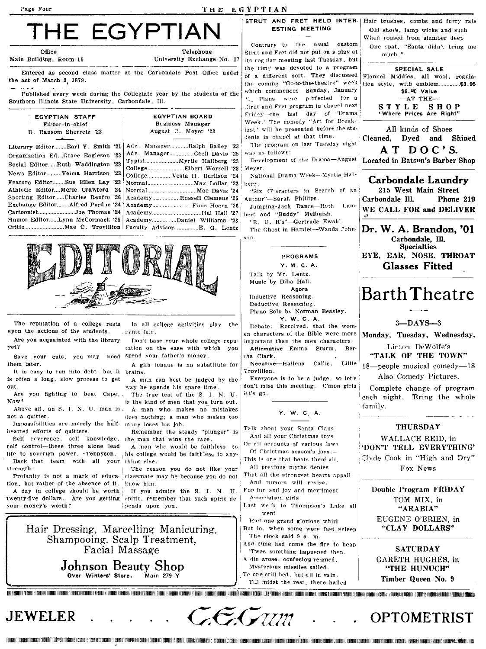#### Page Four

#### THE EGYPTIAN

# THE EGYPTIA

Office

Main Building, Room 16

University Exchange No. 17

Entered as second class matter at the Carbondale Post Office under the act of March 3 1879.

Published every week during the Collegiate year by the students of the Southern Illinois State University, Carbondale, Ill.

|   |                 |  | EGYPTIAN STAFF |  |  |  |
|---|-----------------|--|----------------|--|--|--|
| ٠ | Editor-in-chief |  |                |  |  |  |
|   |                 |  |                |  |  |  |

- D. Ransom Sherretz '23
- Literary Editor........ Earl Y. Smith '21 Organization Ed. .. Grace Eagleson '23 Social Editor......Ruth Waddington '23 News Editor..........Velma Harrison '23 Feature Editor........Sue Ellen Lay '23 Athletic Editor....Merle Crawford '24 Sporting Editor......Charles Renfro '26 Exchange Editor.......Alfred Purdue '24 Cartoonist.......................Joe Thomas '24 Humor Editor......Lynn McCormack '25

| <b>EGYPTIAN BOARD</b> |  |                     |  |  |  |
|-----------------------|--|---------------------|--|--|--|
|                       |  | Business Manager    |  |  |  |
|                       |  | August C. Meyer '23 |  |  |  |

| Adv. ManagerRalph Bailey '23 |  |
|------------------------------|--|
| Adv. ManagerCecil Davis '25  |  |
|                              |  |
|                              |  |
| CollegeVesta H. Burlison '24 |  |
|                              |  |
|                              |  |
| AcademyRussell Clemens '25   |  |
|                              |  |
|                              |  |
| AcademyDaniel Williams '28;  |  |
|                              |  |



The reputation of a college rests upon the actions of the students. Are you acquainted with the library

vet?

them later.

It is easy to run into debt, but it brains. is often a long, slow process to get out.

von fighting to beat Cape. Are Now?

Above all, an S. I. N. U. man is. not a cuitter.

Impossibilities are merely the halfhearted efforts of quitters.

Self reverence, self knowledge, self control-these three alone lead life to soverign power.-Tennyson. Back that team with all your thing else. strength

Profanity is not a mark of education, but rather of the absence of it.

A day in college should be worth twenty-five dollars. Are you getting your money's worth?

In all college activities play the pame fair.

Don't base your whole college reputation on the ease with which you Save your cuts, you may need spend your father's money.

A glib tongue is no substitute for

A man can best be judged by the way he spends his spare time.

The true test of the S. I. N. U. is the kind of men that you turn out. A man who makes no mistakes

does nothing; a man who makes too many loses his job.

Remember the steady "plunger"  $18$ the man that wins the race.

A man who would be faithless to his college would be faithless to any-

The reason you do not like your classmate may be because you do not know him.

If you admire the S. I. N. U. spirit, remember that such spirit de pends upon you.

Hair Dressing, Marcelling Manicuring, Shampooing. Scalp Treatment, Facial Massage Johnson Beauty Shop

Over Winters' Store. Main  $279 - Y$  **ESTING MEETING** 

Contrary to the usual custom Strut and Fret did not put on a play at its regular meeting last Tuesday, but the time was devoted to a program of a different sort. They discussed the coming "Go-to-the-theatre" week which commences Sunday, January '1. Plans were priected for a Utrut and Fret program in chapel next Friday-the last day of "Drama Week.' The comedy "Art for Breakfast" will be presented before the students in chapel at that time. The program on last Tuesday night

was as follows:

Mever.

National Drama Wrek-Myrtle Halberz.

"Six Characters in Search of an Author"-Sarah Phillips. Lam

Jumping-Jack Dance-Ruth bert and "Buddy" Melhuish. "R. U. R's"-Gertrude Ewald.

The Ghost in Hamlet-Wanda John-907.

#### **PROGRAMS**

Y. M. C. A.

Talk by Mr. Lentz. Music by Dilla Hall. Agora Inductive Reasoning. Deductive Reasoning. Piano Solo by Norman Beasley.

Y. W. C. A. Dehate: Resolved, that the wom-

en characters of the Bible were more important than the men characters. Affirmative-Emma Sturm, Ber-

tha Clark. Callis, Necative-Hallena Lillie

Trovillion.

Everyone is to be a judge, so let's don't miss this meeting. C'mon girls let's go.

Y. W. C. A.

Talk about your Santa Claus And all your Christmas toys

Or all accounts of various laws Of Christmas season's lovs -

This is one that beats them all. All previous myths denies

That all the strongest hearts appall And rumors will revise.

For fun and joy and merriment Association girls

Last weak to Thompson's Lake all went

Had one grand glorious whirl But lo. when some were fast asleep The clock said 9 a.m.

And time had come the fire to heap Twas somthing happened then.

- A din arose, confusion reigned.
- Mvsterious missiles sailed.

To one still bed, but all in vain Till midst the rest, there hailed

STRUT AND FRET HELD INTER-| Hair brushes, combs and furry rats Old shot's, lamp wicks and such When roused from slumber deep One spat, "Santa didn't bring me

much."

SPECIAL SALE

Flannel Middies, all wool, regulation style, with emblem..............\$3.95 \$6.90 Value  $-AT$  THE-STYLE SHOP Where Prices Are Right"

All kinds of Shoes Cleaned, Dyed and Shined AT DOC'S.

Development of the Drama-August Located in Batson's Barber Shop

### Carbondale Laundry

215 West Main Street Carbondale Ill. Phone 219 WE CALL FOR and DELIVER

Dr. W. A. Brandon, '01 Carbondale, Ill. **Specialties** EYE, EAR, NOSE, THROAT **Glasses Fitted** 

# Barth Theatre

#### $3-DAYS-3$

Monday, Tuesday, Wednesday,

Linton DeWolfe's "TALK OF THE TOWN"

18--people musical comedy-18 Also Comedy Pictures.

Complete change of program each night. Bring the whole family.

#### **THURSDAY**

WALLACE REID, in 'DON'T TELL EVERYTHING'

Clyde Cook in "High and Dry"

Fox News

Double Program FRIDAY TOM MIX. in "ARABIA" EUGENE O'BRIEN, in "CLAY DOLLARS"

**SATURDAY** 

GARETH HUGHES, in "THE HUNUCH"

Timber Queen No. 9

### JEWELER

THESE SANDARD AND THE SECONDER SECOND SECOND SECOND AND SUBSTANTIAL CONTROLLERS INTO A CONTROLLERS INTO A CONTROLLERS AND SUBSTANTIAL CONTROLLERS AND DESCRIPTION OF THE ORDER CONTROLLERS AND ALLOWS AND ALLOWS AND A CONTROL

OPTOMETRIST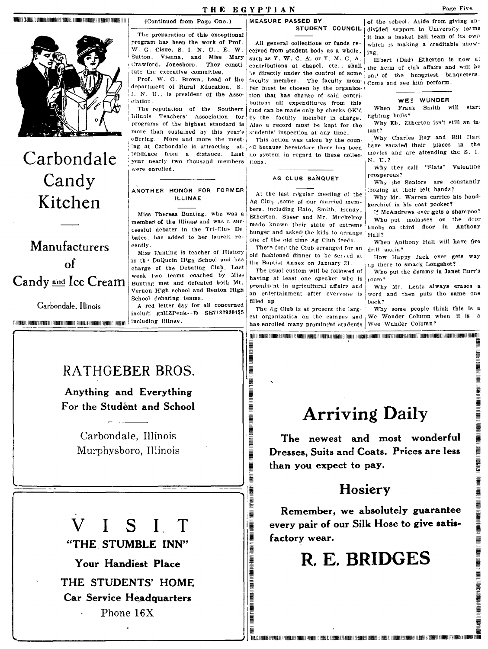

# Carbondale Candy Kitchen

## Manufacturers of Candy and Ice Cream

Garbondale, Illinois

includi gnlIZPenk--fb SE71829304\$5 THE REAL END TO A LIBRARY CONTROL ENTERTAINMENT MARKET AND RESPONSED TO A LIBRARY CONTROL OF THE RESPONSE OF THE RESPONSE OF THE RESPONSE OF THE RESPONSE OF THE RESPONSE OF THE RESPONSE OF THE RESPONSE OF THE RESPONSE OF T

#### THE EGYPTIAN

(Continued from Page One.)

The preparation of this exceptional

program has been the work of Prof.

W. G. Cisne, S. I. N. U., E. W.

Crawford, Jonesboro. They consti-

Prof. W. O. Brown, head of the

department of Rural Education, S.

I. N. U., is president of the Asso-

The reputation of the Southern

Llinois Teachers' Association for

programs of the highest standard is

more than sustained by this year's

offering. More and more the meet-

ANOTHER HONOR FOR FORMER

**ILLINAE** 

Miss Theresa Bunting, who was a

member of the Illinae and was a suc-

cessful debater in the Tri-Clut De-

bates, has added to her laurels re-

Miss Eunting is teacher of History

in the DuQuoin High School and has

charge of the Debating Club. Last

week two teams coached by Miss

Bunting met and defeated both Mt.

Vernon High school and Benton High

A red letter day for all concerned

School debating teams.

tute the executive committee.

Vienna, and Miss Mary

Sutton.

ciation.

were enrolled.

cently.

#### MEASURE PASSED BY STUDENT COUNCIL

All general collections or funds received from student body as a whole, such as Y. W. C. A. or Y. M. C. A. contributions at chapel, etc., shall be directly under the control of some faculty member. The faculty member must be chosen by the organization that has charge of said contributions all expenditures from this fund can be made only by checks OK'd by the faculty member in charge. Also a record must be kept for the students' inspection at any time.

This action was taken by the couning at Carbondale is attracting at i il because heretofore there has been tendance from a distance. Last no system in regard to these collecyear nearly two thousand members tions.

#### AG CLUB BANQUET

At the last regular meeting of the Ag Clu<sub>b</sub> .some of our married members, including Hale, Smith, Hendy, Etherton, Speer and Mr. Muckelroy made known their state of extreme hunger and asked the kids to arrange one of the old time Ag Cluh feeds.

There fore the Club arranged for an old fashioned dinner to be served at the Baptist Annex on January 31.

The usual custom will be followed of having at least one speaker who is prominent in agricultural affairs and an entertainment after everyone is filled up.

The Ag Club is at present the largest organization on the campus and has enrolled many prominent students Wee Wunder Column?

TELEVISION IN A STATE OF THE ANGELE WAS ARRESTED FOR A STATE OF THE ANGELE OF THE ANGELE OF THE STATE OF THE S

**REALBER IN THE REAL PROPERTY OF A SET OF A SET OF A SET OF A SET OF A SET OF A SET OF A SET OF A SET** 

of the school. Aside from giving undivided support to University teams it has a basket ball team of its own which is making a creditable showing

Elbert (Dad) Etherton is now at the herm of club affairs and will be on<sup>1</sup> of the hungriest banqueters. Come and see him perform.

#### WE: WUNDER

When Frank Smith will start fighting bulls?

Why Eb. Etherton isn't still an in $rant?$ 

Why Charles Ray and Bill Hart have vacated their places in the movies and are attending the S. I.  $N.$  U.?

Why they call "Slats" Valentine prosperous?

Why the Seniors are constantly ooking at their left hands?

Why Mr. Warren carries his handkerchief in his coat pocket?

If McAndrews ever gets a shampoo? Who put molasses on the door knobs on third floor in Anthony **Hall?** 

When Anthony Hall will have fire drill again?

How Happy Jack ever gets way i.p there to smack Longshot?

Who put the dummy in Janet Burr's  $100m$  ?

Why Mr. Lentz always erases a word and then puts the same one hack?

Why some people think this is a We Wonder Column when it is

### RATHGEBER BROS.

Anything and Everything For the Student and School

> Carbondale. Illinois Murphysboro, Illinois

#### $\overline{V}$  $\mathbf{I}$ SIT

"THE STUMBLE INN"

Your Handiest Place THE STUDENTS' HOME Car Service Headquarters Phone 16X

# **Arriving Daily**

TELET EN EN DIE DER EINER DER EINSTEHEN DER EINER EINER EINER EIN DER EINER EINER EINER EINER EINER EINER EINER EINER EINER EINER EINER EINER EINER EINER EINER EINER EINER EINER EINER EINER EINER EINER EINER EINER EINER EI

The newest and most wonderful Dresses, Suits and Coats. Prices are less than you expect to pay.

### Hosiery

Remember, we absolutely guarantee every pair of our Silk Hose to give satisfactory wear.

R. E. BRIDGES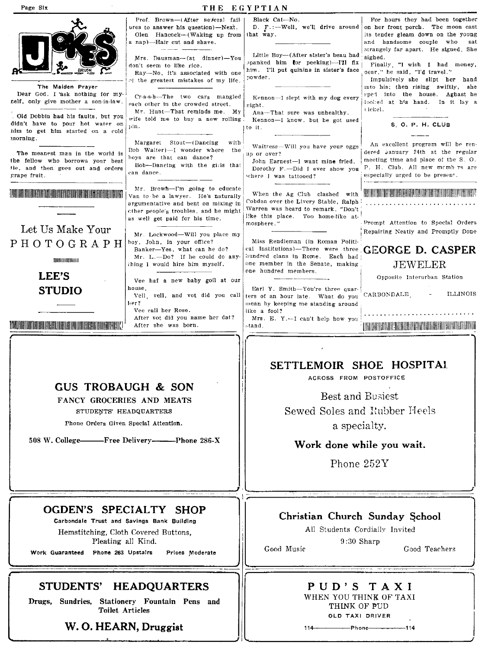#### Page Six THE EGYPTIAN Prof. Brown-(After several fail-Black Cat-No. For hours they had been together D. F.:--Well, we'll drive around on her front porch. The moon cast ures to answer his question)-Next. Olen Hancock-(Waking up from that way. its tender gleam down on the young a nap)-Hair cut and shave. and handsome couple who sat strangely far apart. He signed. She Little Boy-(After sister's beau had Mrs. Dausman-(at dinner)-You sighed. spanked him tor peeking)—I'll fix Finally, "I wish I had money, don't seem to like rice. him. I'll put quinine in sister's face sear." he said, "I'd travel." Ray-No, it's associated with one nowder. of the greatest mistakes of my life. Impulsively she slipt her hand The Maiden Prayer into his; then rising swiftly, she Dear God. I ask nothing for mysped into the house. Aghast he Cr-a-s-h-The two cars mangled Kennon-I slept with my dog every self, only give mother a son-in-law. looked at his hand. In it lay a each other in the crowded street. right. tickel. Mr. Hunt-That reminds me. My Ana-That sure was unhealthy. Old Dobbin had his faults, but you wife told me to buy a new rolling Kennon-I know, but he got used didn't have to pour hot water on S. O. P. H. CLUB uin. to it. nim to get him started on a cold morning. Margaret Stout-(Dancing with An excellent program will be ren-Waitress-Will you have your eggs Bob Walter)-I wonder where the dered hannary 24th at the regular The meanest man in the world is up or over? hoys are that can dance? meeting time and place of the S. O. the fellow who borrows your best John Earnest-I want mine fried. Bob-Dancing with the girls that tie, and then goes out and orders P. H. Club. All new memb rs are Dorothy F.-Did I ever show you can dance. grape fruit. especially urged to be presen<sup>+</sup>. where I was tattooed? Mr. Browh--I'm going to educate **THE REAL PROPERTY OF A SECOND PROPERTY OF A SECOND PROPERTY OF A SECOND PROPERTY OF A SECOND PROPERTY** <u> A Literatura Alexandria de la Carlo de la Ca</u> When the Ag Club clashed with Van to be a lawyer. He's naturally Cobden over the Livery Stable, Ralph argumentative and bent on mixing in Warren was heard to remark, "Don't cther people's troubles, and he might like this place. Too home-like atas well get paid for his time. mosphere." Prompt Attention to Special Orders Let Us Make Your Repairing Neatly and Promptly Done Mr. Lockwood-Will you place my PHOTOGRAPH boy, John, in your office? Miss Rendleman (in Roman Political Institutions)-There were three GEORGE D. CASPER Banker-Yes, what can he do? hundred clans in Rome. Each had Mr. L.-Do? If he could do any-**TOTAL ELECTRONIC** one member in the Senate, making **JEWELER** thing I would hire him myself. one hundred members. **LEE'S** Opposite Interurban Station Vee haf a new baby goil at our house. Earl Y. Smith-You're three quar-**STUDIO** ters of an hour late. What do you CARBONDALE, Vell, vell, and vot did you call **ILLINOIS** ler? wean by keeping me standing around Vee call her Rose. like a fool? After vot did you name her dat? Mrs. E. Y.-I can't help how you <u>TORUMBI INI DI UMBERI SHARI UMBER DAN BERBERA DI BIBI BERBERA D</u> After she was born. LITELIS ET ELECTRICI EST ELECTRICI ET ELECTRICI EST ELECTRICI EST ELECTRICI EST ELECTRICI EST ELECTRICI EST EL stand. SETTLEMOIR SHOE HOSPITAL ACROSS FROM POSTOFFICE **GUS TROBAUGH & SON Best and Busiest** FANCY GROCERIES AND MEATS Sewed Soles and Rubber Heels STUDENTS' HEADQUARTERS

Phone Orders Given Special Attention.

508 W. College-Free Delivery--------- Phone 286-X

a specialty.

### Work done while you wait.

Phone 252Y

### OGDEN'S SPECIALTY SHOP

Carbondale Trust and Savings Bank Building Hemstitching, Cloth Covered Buttons, Pleating all Kind.

Work Guaranteed Phone 263 Upstairs Prices Moderate

### STUDENTS' HEADQUARTERS

Drugs, Sundries, Stationery Fountain Pens and **Toilet Articles** 

### W. O. HEARN, Druggist

### Christian Church Sunday School

All Students Cordially Invited  $9:30$  Sharp Good Music

Good Teachers

## PUD'S TAXI

WHEN YOU THINK OF TAXI THINK OF PUD OLD TAXI DRIVER

 $114 - P$ hone  $-114$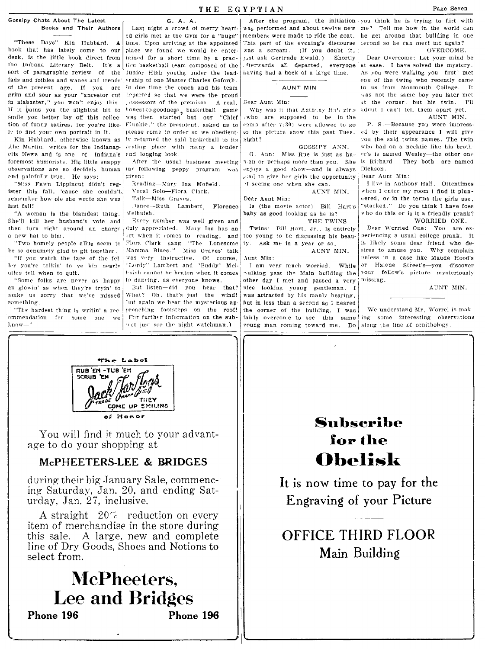book that has lately come to our place we found we would be enterdesk, is the little book direct from tained for a short time by a prac- Just ask Gertrude Ewald.) Shortly Dear Overcome: Let your mind be<br>the Indiana Literary Belt. It's a tice basketball team composed of the frerwards all the Indiana Literary Belt. It's a tice basketball team composed of the ferwards all departed, everyone at ease. I have solved the mystery,<br>sort of paragraphic review of the Junior High youths under the lead having had a he fads and fcibles and wanes and trends' ership of one Master Charles Goforth. <br>In the present age. If you are in due time the coach and his team and  $\frac{1}{2}$  a  $\frac{1}{2}$  one of the twing who recently came of the present age. If you are in due time the coach and his team <br>grim and sour as your "ancestor cut departed so that we were the proud the same of the same boy you later met in alabaster," you won't enjoy this. . USSESSOTS of the premises. A real, if it pains you the slightest bit to honest-to-goodness, basketball game If it pains you the slightest bit to honest-to-goodness, basketball game Why was it that Anthony Hall girls admit I can't tell them apart yet.<br>Smile you better lay off this collec-was then started but our "Chief who are s

ister this fall, 'cause she couldn't,  $\frac{1}{1}$  Vocal Solo-Flora Clark.  $\frac{1}{1}$  enter my allowing  $\frac{1}{1}$  enter my  $\frac{1}{1}$  enter my  $\frac{1}{1}$  enter  $\frac{1}{1}$  enter  $\frac{1}{1}$  enter  $\frac{1}{1}$  enter  $\frac{1}{1}$  enter  $\frac$ lEst fall! ! nancc-Ruth Lambert Florence Is (tbe movie actor) Bill Hart's "stacked." Do you think I have foes

She'll kill her husband's vote and Every number was well given and THE TWINS. then turn right around an charge duly appreciated. Maly Ina has an

"Two homely people allus seem to Flora Clark sang "The Lonesome be so denuinely glad to git together.  $\vert$  Mamma Blues." Miss Graves' talk ler you're talkin' to ye kin nearly allus tell when to quit.

"Some folks are never as happy an glowin' as when they're tryin' to But listen-did you hear that?<br>
nake us sorry that we've missed What? Oh, that's just the wind! make us sorry that we've missed something.

"The hardest thing is writin' a recommendation fer some one we lnow-" is the night watchman.) voung man coming toward me. Do along the line of ornithology.

"These Days"—Kin Hubbard. A time. Upon arriving at the appointed This part of the evening's discourse second so he can meet me again? Junior High youths under the lead- itaving had a heck of a large time. As you were walking you first' met  $\frac{1}{2}$  as not the same boy you later method is that we were the proud  $\begin{array}{|l|} \hline \end{array}$  . The same boy you later method is twin. I'll was then started but our "Chief Kin Hublard, otherwise known as 'v returned the said basketball to its right?  $\begin{array}{c|c} \hline \text{W0U} & \text{W0U} & \text{W0U} \\ \hline \text{W1U} & \text{W1U} & \text{W1U} & \text{W1U} \\ \hline \text{W2U} & \text{W3U} & \text{W4U} & \text{W5U} \\ \hline \end{array}$ Abe Martin, writes for the Indianap- resting place with many a tender **GOSSIPY ANN.** who had on a necktie like his broth-<br>C. Ann: Miss Rue is just as hu- er's is named Wesley—the other one with some of the line of the oth ['lis News and is onc of Indiana's ("'nd lOI,1ging look \_ (j Ann: Miss Rue is just as hu- ·'r's is named Wesley-the other ODE'

a new hat to him.<br>
"Two homely people allus seem to Flora Clark sang "The Lonesome "If you watch the face of the fel- was very instructive. Of course,<br>r you're talkin' to ye kin nearly "Lordy" Lambert and "Buddy" Melhuish cannot he beaten when it comes<br>to dancing, as everyone knows.

!

 $\frac{1}{2}$  , the contract of the contract of  $\frac{1}{2}$  , the contract of the contract of the contract of the contract of the contract of the contract of the contract of the contract of the contract of the contract of the c

Gossipy Chats About The Latest **G. A. A.** A. A. A. A. A. A. Assembly Chats About Their Authors Last night a crowd of merry heart. as performed and about twelve new was performed and about twelve new

tion of funny satires, for you're like. Flunkie," the president, asked us to  $|c_{\text{20m}}|$  after 7:30) were allowed to go p. S. Because you were impress<br>It to find your own portrait in it. please come to order so we obedi

foremost humorists. His little snappy After the usual business meeting ran or perhaps more than you. She if Richard, They both are named<br>observations are so decidely human the following peppy program was enjoys a good sho observations are so decidely human the following peppy program  $\text{was}$  enjoys a good show-and is always Dickson.<br>
cad to give her girls the opportunity Dear Aunt Min: end painfully true. He says:  $\begin{array}{|l|l|}\n\hline\n\text{even} & \text{even} \\
\hline\n\text{even} & \text{even} \\
\hline\n\text{where} & \text{even} \\
\hline\n\text{where} & \text{even} \\
\hline\n\text{where} & \text{even} \\
\hline\n\text{where} & \text{even} \\
\hline\n\text{where} & \text{even} \\
\hline\n\text{where} & \text{even} \\
\hline\n\text{where} & \text{even} \\
\hline\n\text{where} & \text{even} \\
\hline\n\text{where} & \text{even} \\
\hline\n$ 

Twins: Bill Hart, Jr., is entirely

too young to he discussing his beau· ty, Ask *me* in a year or so. AUNT MIN.

,\unt !lfin: walking past the Main building the vour fellow fellow past the Main building the volume  $\frac{1}{2}$ other day I met and passed a very  $\text{mice}$  looking young gentleman. I AUNT MIN. was attracted by his manly bearing, But again we hear the mysterious ap- but in less than a second as I neared proaching. I was

 $\epsilon$ d girls met at the Gym for a "huge" | member $_{\rm S}$  were made to ride the goat.  $|$  he get around that building in one you think he is trying to flirt with me? Tell me how in the world can

 $vd$  by their appearance I will give

"Miss Fawn Lippincut didn't reg- Reading-Mary Ina Mofield, The seeing one when she can, I live in Anthony Hall. Oftentimes (1999) (1999) (1999) (1999) (1999) (1999) (1999) (1999) (1999) (1999) (1999) (1999) (1999) (1999) ( Talk-Miss Graves.<br>
Dance-Ruth Lambert Florence Is (the movie actor) Bill Hart's "Stacked." Do you think I have foes "A woman is the blamdest thing, | Melhulsh, baby as good looking as he is? v,ho do this or is it a friendly prank?"<br>he'll kill her husband's vote and Every number was well given and | THE TWINS. NORRIED ONE.

Dear Worried One: You are ex· periencing a usual college prank. It is likely some dear friend wbo de· sires to amuse you. Why complain IInless in a case like Maude Hood's I am very much worried. While  $|\sigma|$  Halche Street's-you discover alking past the Main building the vour fellow's picture mysteriously

proaching footsteps on the roof! the corner of the building, I was We understand Mr. Worrel is mak-<br>For further information on the sub- fairly overcome to see this same ing some interesting observations For further information on the sub- fairly overcome to see this same ing some interesting observations<br>  $\frac{d}{dx}$  in the night watchman.) voung man coming toward me. Do along the line of ornithology.



.-~======~~~==~~~~==============~

You will find it much to your advantage to do your shopping at

### McPHEETERS-LEE & BRIDGES

during- their big January Sale, commencing Saturday, Jan. 20. and ending Saturday, Jan. 27, inclusive,

A straight  $20\%$  reduction on every item of merchandise in the store during this sale. A large, new and complete line of Dry Goods, Shoes and Notions to select from.

## McPheeters. **Lee and Bridges**  Phone **196** Phone **196**

## **Subscribe for the**  Obelisk

It is now time to pay for the Engraving of your Picture

## OFFICE THIRD FLOOR Main Building

 $THE E G Y P T I A N$